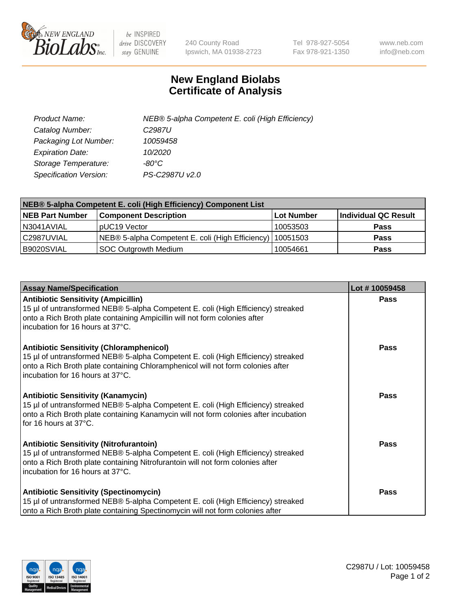

 $be$  INSPIRED drive DISCOVERY stay GENUINE

240 County Road Ipswich, MA 01938-2723 Tel 978-927-5054 Fax 978-921-1350 www.neb.com info@neb.com

## **New England Biolabs Certificate of Analysis**

| Product Name:           | NEB® 5-alpha Competent E. coli (High Efficiency) |
|-------------------------|--------------------------------------------------|
| Catalog Number:         | C <sub>2987</sub> U                              |
| Packaging Lot Number:   | 10059458                                         |
| <b>Expiration Date:</b> | 10/2020                                          |
| Storage Temperature:    | -80°C                                            |
| Specification Version:  | PS-C2987U v2.0                                   |

| NEB® 5-alpha Competent E. coli (High Efficiency) Component List |                                                  |            |                      |  |
|-----------------------------------------------------------------|--------------------------------------------------|------------|----------------------|--|
| <b>NEB Part Number</b>                                          | <b>Component Description</b>                     | Lot Number | Individual QC Result |  |
| N3041AVIAL                                                      | pUC19 Vector                                     | 10053503   | <b>Pass</b>          |  |
| C2987UVIAL                                                      | NEB® 5-alpha Competent E. coli (High Efficiency) | 110051503  | <b>Pass</b>          |  |
| B9020SVIAL                                                      | <b>SOC Outgrowth Medium</b>                      | 10054661   | <b>Pass</b>          |  |

| <b>Assay Name/Specification</b>                                                                                                                                                                                                                            | Lot #10059458 |
|------------------------------------------------------------------------------------------------------------------------------------------------------------------------------------------------------------------------------------------------------------|---------------|
| <b>Antibiotic Sensitivity (Ampicillin)</b><br>15 µl of untransformed NEB® 5-alpha Competent E. coli (High Efficiency) streaked<br>onto a Rich Broth plate containing Ampicillin will not form colonies after<br>incubation for 16 hours at 37°C.           | Pass          |
| <b>Antibiotic Sensitivity (Chloramphenicol)</b><br>15 µl of untransformed NEB® 5-alpha Competent E. coli (High Efficiency) streaked<br>onto a Rich Broth plate containing Chloramphenicol will not form colonies after<br>incubation for 16 hours at 37°C. | Pass          |
| <b>Antibiotic Sensitivity (Kanamycin)</b><br>15 µl of untransformed NEB® 5-alpha Competent E. coli (High Efficiency) streaked<br>onto a Rich Broth plate containing Kanamycin will not form colonies after incubation<br>for 16 hours at 37°C.             | Pass          |
| <b>Antibiotic Sensitivity (Nitrofurantoin)</b><br>15 µl of untransformed NEB® 5-alpha Competent E. coli (High Efficiency) streaked<br>onto a Rich Broth plate containing Nitrofurantoin will not form colonies after<br>incubation for 16 hours at 37°C.   | <b>Pass</b>   |
| <b>Antibiotic Sensitivity (Spectinomycin)</b><br>15 µl of untransformed NEB® 5-alpha Competent E. coli (High Efficiency) streaked<br>onto a Rich Broth plate containing Spectinomycin will not form colonies after                                         | Pass          |